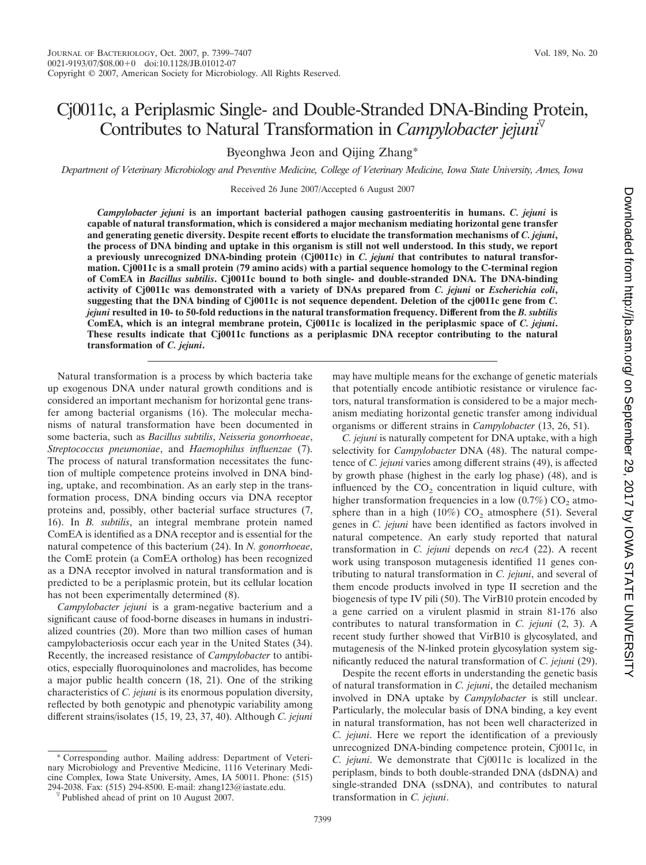# Cj0011c, a Periplasmic Single- and Double-Stranded DNA-Binding Protein, Contributes to Natural Transformation in *Campylobacter jejuni*

Byeonghwa Jeon and Qijing Zhang\*

*Department of Veterinary Microbiology and Preventive Medicine, College of Veterinary Medicine, Iowa State University, Ames, Iowa*

Received 26 June 2007/Accepted 6 August 2007

*Campylobacter jejuni* **is an important bacterial pathogen causing gastroenteritis in humans.** *C. jejuni* **is capable of natural transformation, which is considered a major mechanism mediating horizontal gene transfer and generating genetic diversity. Despite recent efforts to elucidate the transformation mechanisms of** *C. jejuni***, the process of DNA binding and uptake in this organism is still not well understood. In this study, we report a previously unrecognized DNA-binding protein (Cj0011c) in** *C. jejuni* **that contributes to natural transformation. Cj0011c is a small protein (79 amino acids) with a partial sequence homology to the C-terminal region of ComEA in** *Bacillus subtilis***. Cj0011c bound to both single- and double-stranded DNA. The DNA-binding activity of Cj0011c was demonstrated with a variety of DNAs prepared from** *C. jejuni* **or** *Escherichia coli***, suggesting that the DNA binding of Cj0011c is not sequence dependent. Deletion of the cj0011c gene from** *C. jejuni* **resulted in 10- to 50-fold reductions in the natural transformation frequency. Different from the** *B. subtilis* **ComEA, which is an integral membrane protein, Cj0011c is localized in the periplasmic space of** *C. jejuni***. These results indicate that Cj0011c functions as a periplasmic DNA receptor contributing to the natural transformation of** *C. jejuni***.**

Natural transformation is a process by which bacteria take up exogenous DNA under natural growth conditions and is considered an important mechanism for horizontal gene transfer among bacterial organisms (16). The molecular mechanisms of natural transformation have been documented in some bacteria, such as *Bacillus subtilis*, *Neisseria gonorrhoeae*, *Streptococcus pneumoniae*, and *Haemophilus influenzae* (7). The process of natural transformation necessitates the function of multiple competence proteins involved in DNA binding, uptake, and recombination. As an early step in the transformation process, DNA binding occurs via DNA receptor proteins and, possibly, other bacterial surface structures (7, 16). In *B. subtilis*, an integral membrane protein named ComEA is identified as a DNA receptor and is essential for the natural competence of this bacterium (24). In *N. gonorrhoeae*, the ComE protein (a ComEA ortholog) has been recognized as a DNA receptor involved in natural transformation and is predicted to be a periplasmic protein, but its cellular location has not been experimentally determined (8).

*Campylobacter jejuni* is a gram-negative bacterium and a significant cause of food-borne diseases in humans in industrialized countries (20). More than two million cases of human campylobacteriosis occur each year in the United States (34). Recently, the increased resistance of *Campylobacter* to antibiotics, especially fluoroquinolones and macrolides, has become a major public health concern (18, 21). One of the striking characteristics of *C. jejuni* is its enormous population diversity, reflected by both genotypic and phenotypic variability among different strains/isolates (15, 19, 23, 37, 40). Although *C. jejuni*

\* Corresponding author. Mailing address: Department of Veterinary Microbiology and Preventive Medicine, 1116 Veterinary Medicine Complex, Iowa State University, Ames, IA 50011. Phone: (515) 294-2038. Fax: (515) 294-8500. E-mail: zhang123@iastate.edu.  $\sqrt[6]{}$  Published ahead of print on 10 August 2007.

may have multiple means for the exchange of genetic materials that potentially encode antibiotic resistance or virulence factors, natural transformation is considered to be a major mechanism mediating horizontal genetic transfer among individual organisms or different strains in *Campylobacter* (13, 26, 51).

*C. jejuni* is naturally competent for DNA uptake, with a high selectivity for *Campylobacter* DNA (48). The natural competence of *C. jejuni* varies among different strains (49), is affected by growth phase (highest in the early log phase) (48), and is influenced by the  $CO<sub>2</sub>$  concentration in liquid culture, with higher transformation frequencies in a low  $(0.7\%)$  CO<sub>2</sub> atmosphere than in a high  $(10\%)$  CO<sub>2</sub> atmosphere (51). Several genes in *C. jejuni* have been identified as factors involved in natural competence. An early study reported that natural transformation in *C. jejuni* depends on *recA* (22). A recent work using transposon mutagenesis identified 11 genes contributing to natural transformation in *C. jejuni*, and several of them encode products involved in type II secretion and the biogenesis of type IV pili (50). The VirB10 protein encoded by a gene carried on a virulent plasmid in strain 81-176 also contributes to natural transformation in *C. jejuni* (2, 3). A recent study further showed that VirB10 is glycosylated, and mutagenesis of the N-linked protein glycosylation system significantly reduced the natural transformation of *C. jejuni* (29).

Despite the recent efforts in understanding the genetic basis of natural transformation in *C. jejuni*, the detailed mechanism involved in DNA uptake by *Campylobacter* is still unclear. Particularly, the molecular basis of DNA binding, a key event in natural transformation, has not been well characterized in *C. jejuni*. Here we report the identification of a previously unrecognized DNA-binding competence protein, Cj0011c, in *C. jejuni*. We demonstrate that Cj0011c is localized in the periplasm, binds to both double-stranded DNA (dsDNA) and single-stranded DNA (ssDNA), and contributes to natural transformation in *C. jejuni*.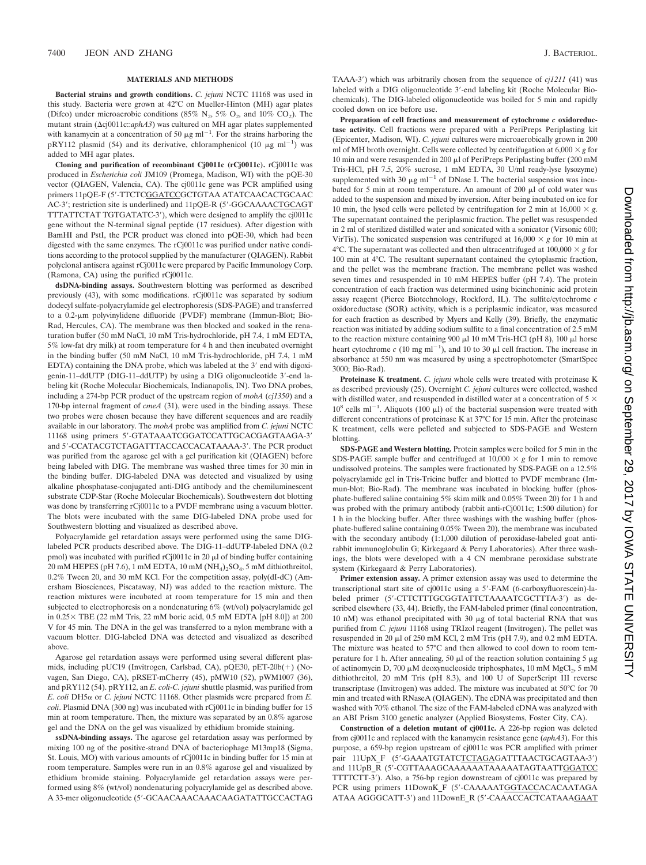#### **MATERIALS AND METHODS**

**Bacterial strains and growth conditions.** *C. jejuni* NCTC 11168 was used in this study. Bacteria were grown at 42°C on Mueller-Hinton (MH) agar plates (Difco) under microaerobic conditions (85%  $N_2$ , 5%  $O_2$ , and 10%  $CO_2$ ). The mutant strain ( $\Delta$ cj0011c::*aphA3*) was cultured on MH agar plates supplemented with kanamycin at a concentration of 50  $\mu$ g ml<sup>-1</sup>. For the strains harboring the pRY112 plasmid (54) and its derivative, chloramphenicol (10  $\mu$ g ml<sup>-1</sup>) was added to MH agar plates.

**Cloning and purification of recombinant Cj0011c (rCj0011c).** rCj0011c was produced in *Escherichia coli* JM109 (Promega, Madison, WI) with the pQE-30 vector (QIAGEN, Valencia, CA). The cj0011c gene was PCR amplified using primers 11pQE-F (5-TTCTCGGATCCGCTGTAA ATATCAACACTGCAAC AC-3'; restriction site is underlined) and 11pQE-R (5'-GGCAAAACTGCAGT TTTATTCTAT TGTGATATC-3), which were designed to amplify the cj0011c gene without the N-terminal signal peptide (17 residues). After digestion with BamHI and PstI, the PCR product was cloned into pQE-30, which had been digested with the same enzymes. The rCj0011c was purified under native conditions according to the protocol supplied by the manufacturer (QIAGEN). Rabbit polyclonal antisera against rCj0011c were prepared by Pacific Immunology Corp. (Ramona, CA) using the purified rCj0011c.

**dsDNA-binding assays.** Southwestern blotting was performed as described previously (43), with some modifications. rCj0011c was separated by sodium dodecyl sulfate-polyacrylamide gel electrophoresis (SDS-PAGE) and transferred to a 0.2-m polyvinylidene difluoride (PVDF) membrane (Immun-Blot; Bio-Rad, Hercules, CA). The membrane was then blocked and soaked in the renaturation buffer (50 mM NaCl, 10 mM Tris-hydrochloride, pH 7.4, 1 mM EDTA, 5% low-fat dry milk) at room temperature for 4 h and then incubated overnight in the binding buffer (50 mM NaCl, 10 mM Tris-hydrochloride, pH 7.4, 1 mM EDTA) containing the DNA probe, which was labeled at the 3' end with digoxigenin-11-ddUTP (DIG-11-ddUTP) by using a DIG oligonucleotide 3'-end labeling kit (Roche Molecular Biochemicals, Indianapolis, IN). Two DNA probes, including a 274-bp PCR product of the upstream region of *mobA* (*cj1350*) and a 170-bp internal fragment of *cmeA* (31), were used in the binding assays. These two probes were chosen because they have different sequences and are readily available in our laboratory. The *mobA* probe was amplified from *C. jejuni* NCTC 11168 using primers 5-GTATAAATCGGATCCATTGCACGAGTAAGA-3 and 5'-CCATACGTCTAGATTTACCACCACATAAAA-3'. The PCR product was purified from the agarose gel with a gel purification kit (QIAGEN) before being labeled with DIG. The membrane was washed three times for 30 min in the binding buffer. DIG-labeled DNA was detected and visualized by using alkaline phosphatase-conjugated anti-DIG antibody and the chemiluminescent substrate CDP-Star (Roche Molecular Biochemicals). Southwestern dot blotting was done by transferring rCj0011c to a PVDF membrane using a vacuum blotter. The blots were incubated with the same DIG-labeled DNA probe used for Southwestern blotting and visualized as described above.

Polyacrylamide gel retardation assays were performed using the same DIGlabeled PCR products described above. The DIG-11–ddUTP-labeled DNA (0.2 pmol) was incubated with purified  $rC[0011c]$  in 20  $\mu$  of binding buffer containing 20 mM HEPES (pH 7.6), 1 mM EDTA, 10 mM  $(NH<sub>4</sub>)<sub>2</sub>SO<sub>4</sub>$ , 5 mM dithiothreitol, 0.2% Tween 20, and 30 mM KCl. For the competition assay, poly(dI-dC) (Amersham Biosciences, Piscataway, NJ) was added to the reaction mixture. The reaction mixtures were incubated at room temperature for 15 min and then subjected to electrophoresis on a nondenaturing 6% (wt/vol) polyacrylamide gel in  $0.25 \times$  TBE (22 mM Tris, 22 mM boric acid, 0.5 mM EDTA [pH 8.0]) at 200 V for 45 min. The DNA in the gel was transferred to a nylon membrane with a vacuum blotter. DIG-labeled DNA was detected and visualized as described above.

Agarose gel retardation assays were performed using several different plasmids, including pUC19 (Invitrogen, Carlsbad, CA), pQE30, pET-20b(+) (Novagen, San Diego, CA), pRSET-mCherry (45), pMW10 (52), pWM1007 (36), and pRY112 (54). pRY112, an *E. coli*-*C. jejuni* shuttle plasmid, was purified from  $E.$  *coli* DH5 $\alpha$  or  $C.$  *jejuni* NCTC 11168. Other plasmids were prepared from  $E.$ *coli*. Plasmid DNA (300 ng) was incubated with rCj0011c in binding buffer for 15 min at room temperature. Then, the mixture was separated by an 0.8% agarose gel and the DNA on the gel was visualized by ethidium bromide staining.

**ssDNA-binding assays.** The agarose gel retardation assay was performed by mixing 100 ng of the positive-strand DNA of bacteriophage M13mp18 (Sigma, St. Louis, MO) with various amounts of rCj0011c in binding buffer for 15 min at room temperature. Samples were run in an 0.8% agarose gel and visualized by ethidium bromide staining. Polyacrylamide gel retardation assays were performed using 8% (wt/vol) nondenaturing polyacrylamide gel as described above. A 33-mer oligonucleotide (5-GCAACAAACAAACAAGATATTGCCACTAG TAAA-3) which was arbitrarily chosen from the sequence of *cj1211* (41) was labeled with a DIG oligonucleotide 3'-end labeling kit (Roche Molecular Biochemicals). The DIG-labeled oligonucleotide was boiled for 5 min and rapidly cooled down on ice before use.

**Preparation of cell fractions and measurement of cytochrome** *c* **oxidoreductase activity.** Cell fractions were prepared with a PeriPreps Periplasting kit (Epicenter, Madison, WI). *C. jejuni* cultures were microaerobically grown in 200 ml of MH broth overnight. Cells were collected by centrifugation at  $6,000 \times g$  for 10 min and were resuspended in 200  $\mu$ l of PeriPreps Periplasting buffer (200 mM Tris-HCl, pH 7.5, 20% sucrose, 1 mM EDTA, 30 U/ml ready-lyse lysozyme) supplemented with 30  $\mu$ g ml<sup>-1</sup> of DNase I. The bacterial suspension was incubated for 5 min at room temperature. An amount of 200  $\mu$ l of cold water was added to the suspension and mixed by inversion. After being incubated on ice for 10 min, the lysed cells were pelleted by centrifugation for 2 min at  $16,000 \times g$ . The supernatant contained the periplasmic fraction. The pellet was resuspended in 2 ml of sterilized distilled water and sonicated with a sonicator (Virsonic 600; VirTis). The sonicated suspension was centrifuged at  $16,000 \times g$  for 10 min at 4°C. The supernatant was collected and then ultracentrifuged at  $100,000 \times g$  for 100 min at 4°C. The resultant supernatant contained the cytoplasmic fraction, and the pellet was the membrane fraction. The membrane pellet was washed seven times and resuspended in 10 mM HEPES buffer (pH 7.4). The protein concentration of each fraction was determined using bicinchoninic acid protein assay reagent (Pierce Biotechnology, Rockford, IL). The sulfite/cytochrome *c* oxidoreductase (SOR) activity, which is a periplasmic indicator, was measured for each fraction as described by Myers and Kelly (39). Briefly, the enzymatic reaction was initiated by adding sodium sulfite to a final concentration of 2.5 mM to the reaction mixture containing 900  $\mu$ 1 10 mM Tris-HCl (pH 8), 100  $\mu$ l horse heart cytochrome  $c$  (10 mg ml<sup>-1</sup>), and 10 to 30  $\mu$ l cell fraction. The increase in absorbance at 550 nm was measured by using a spectrophotometer (SmartSpec 3000; Bio-Rad).

**Proteinase K treatment.** *C. jejuni* whole cells were treated with proteinase K as described previously (25). Overnight *C. jejuni* cultures were collected, washed with distilled water, and resuspended in distilled water at a concentration of  $5 \times$  $10^8$  cells ml<sup>-1</sup>. Aliquots (100  $\mu$ l) of the bacterial suspension were treated with different concentrations of proteinase K at 37°C for 15 min. After the proteinase K treatment, cells were pelleted and subjected to SDS-PAGE and Western blotting.

**SDS-PAGE and Western blotting.** Protein samples were boiled for 5 min in the SDS-PAGE sample buffer and centrifuged at  $10,000 \times g$  for 1 min to remove undissolved proteins. The samples were fractionated by SDS-PAGE on a 12.5% polyacrylamide gel in Tris-Tricine buffer and blotted to PVDF membrane (Immun-blot; Bio-Rad). The membrane was incubated in blocking buffer (phosphate-buffered saline containing 5% skim milk and 0.05% Tween 20) for 1 h and was probed with the primary antibody (rabbit anti-rCj0011c; 1:500 dilution) for 1 h in the blocking buffer. After three washings with the washing buffer (phosphate-buffered saline containing 0.05% Tween 20), the membrane was incubated with the secondary antibody (1:1,000 dilution of peroxidase-labeled goat antirabbit immunoglobulin G; Kirkegaard & Perry Laboratories). After three washings, the blots were developed with a 4 CN membrane peroxidase substrate system (Kirkegaard & Perry Laboratories).

**Primer extension assay.** A primer extension assay was used to determine the transcriptional start site of cj0011c using a 5-FAM (6-carboxyfluorescein)-labeled primer (5-CTTCTTTGCGGTATTCTAAAATCGCTTTA-3) as described elsewhere (33, 44). Briefly, the FAM-labeled primer (final concentration, 10 nM) was ethanol precipitated with 30  $\mu$ g of total bacterial RNA that was purified from *C. jejuni* 11168 using TRIzol reagent (Invitrogen). The pellet was resuspended in 20  $\mu$ l of 250 mM KCl, 2 mM Tris (pH 7.9), and 0.2 mM EDTA. The mixture was heated to 57°C and then allowed to cool down to room temperature for 1 h. After annealing, 50  $\mu$ l of the reaction solution containing 5  $\mu$ g of actinomycin D, 700  $\mu$ M deoxynucleoside triphosphates, 10 mM MgCl<sub>2</sub>, 5 mM dithiothreitol, 20 mM Tris (pH 8.3), and 100 U of SuperScript III reverse transcriptase (Invitrogen) was added. The mixture was incubated at 50°C for 70 min and treated with RNaseA (QIAGEN). The cDNA was precipitated and then washed with 70% ethanol. The size of the FAM-labeled cDNA was analyzed with an ABI Prism 3100 genetic analyzer (Applied Biosystems, Foster City, CA).

**Construction of a deletion mutant of cj0011c.** A 226-bp region was deleted from cj0011c and replaced with the kanamycin resistance gene (*aphA3*). For this purpose, a 659-bp region upstream of cj0011c was PCR amplified with primer pair 11UpX\_F (5'-GAAATGTATCTCTAGAGATTTAACTGCAGTAA-3') and 11UpB\_R (5-CGTTAAAGCAAAAAATAAAAATAGTAATTGGATCC TTTTCTT-3). Also, a 756-bp region downstream of cj0011c was prepared by PCR using primers 11DownK F (5'-CAAAAATGGTACCACACAATAGA ATAA AGGGCATT-3) and 11DownE\_R (5-CAAACCACTCATAAAGAAT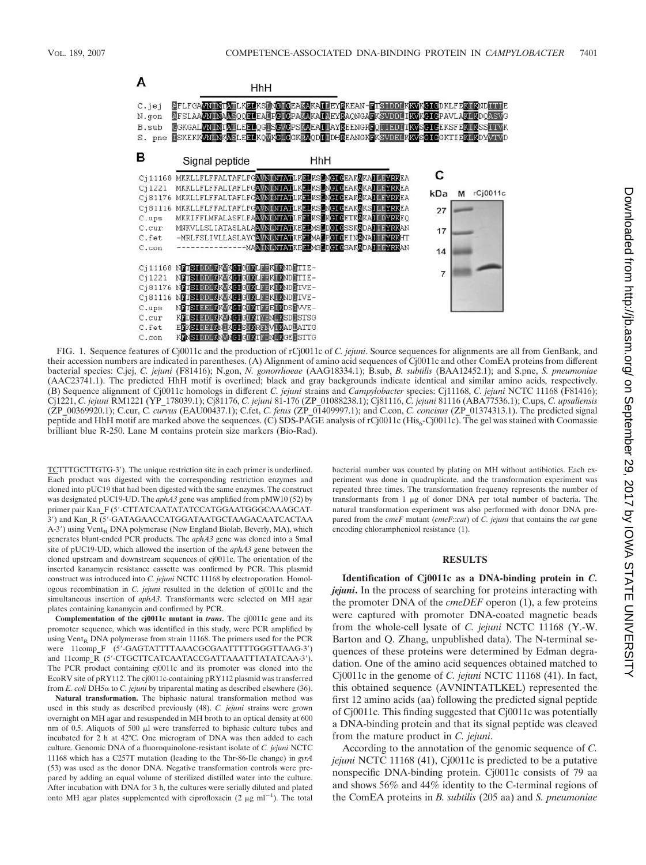

FIG. 1. Sequence features of Cj0011c and the production of rCj0011c of *C. jejuni*. Source sequences for alignments are all from GenBank, and their accession numbers are indicated in parentheses. (A) Alignment of amino acid sequences of Cj0011c and other ComEA proteins from different bacterial species: C.jej, *C. jejuni* (F81416); N.gon, *N. gonorrhoeae* (AAG18334.1); B.sub, *B. subtilis* (BAA12452.1); and S.pne, *S. pneumoniae* (AAC23741.1). The predicted HhH motif is overlined; black and gray backgrounds indicate identical and similar amino acids, respectively. (B) Sequence alignment of Cj0011c homologs in different *C. jejuni* strains and *Campylobacter* species: Cj11168, *C. jejuni* NCTC 11168 (F81416); Cj1221, *C. jejuni* RM1221 (YP\_178039.1); Cj81176, *C. jejuni* 81-176 (ZP\_01088238.1); Cj81116, *C. jejuni* 81116 (ABA77536.1); C.ups, *C. upsaliensis* (ZP\_00369920.1); C.cur, C*. curvus* (EAU00437.1); C.fet, *C. fetus* (ZP\_01409997.1); and C.con, *C. concisus* (ZP\_01374313.1). The predicted signal peptide and HhH motif are marked above the sequences. (C) SDS-PAGE analysis of rCj0011c (His<sub>6</sub>-Cj0011c). The gel was stained with Coomassie brilliant blue R-250. Lane M contains protein size markers (Bio-Rad).

TCTTTGCTTGTG-3). The unique restriction site in each primer is underlined. Each product was digested with the corresponding restriction enzymes and cloned into pUC19 that had been digested with the same enzymes. The construct was designated pUC19-UD. The *aphA3* gene was amplified from pMW10 (52) by primer pair Kan\_F (5-CTTATCAATATATCCATGGAATGGGCAAAGCAT-3) and Kan\_R (5-GATAGAACCATGGATAATGCTAAGACAATCACTAA  $A-3'$ ) using Vent<sub>R</sub> DNA polymerase (New England Biolab, Beverly, MA), which generates blunt-ended PCR products. The *aphA3* gene was cloned into a SmaI site of pUC19-UD, which allowed the insertion of the *aphA3* gene between the cloned upstream and downstream sequences of cj0011c. The orientation of the inserted kanamycin resistance cassette was confirmed by PCR. This plasmid construct was introduced into *C. jejuni* NCTC 11168 by electroporation. Homologous recombination in *C. jejuni* resulted in the deletion of cj0011c and the simultaneous insertion of *aphA3*. Transformants were selected on MH agar plates containing kanamycin and confirmed by PCR.

**Complementation of the cj0011c mutant in** *trans***.** The cj0011c gene and its promoter sequence, which was identified in this study, were PCR amplified by using  $Vert_R$  DNA polymerase from strain 11168. The primers used for the PCR were 11comp\_F (5'-GAGTATTTTAAACGCGAATTTTTGGGTTAAG-3') and 11comp\_R (5-CTGCTTCATCAATACCGATTAAATTTATATCAA-3). The PCR product containing cj0011c and its promoter was cloned into the EcoRV site of pRY112. The cj0011c-containing pRY112 plasmid was transferred from  $E$ . coli DH5 $\alpha$  to  $C$ . jejuni by triparental mating as described elsewhere (36).

**Natural transformation.** The biphasic natural transformation method was used in this study as described previously (48). *C. jejuni* strains were grown overnight on MH agar and resuspended in MH broth to an optical density at 600 nm of 0.5. Aliquots of 500  $\mu$ l were transferred to biphasic culture tubes and incubated for 2 h at 42°C. One microgram of DNA was then added to each culture. Genomic DNA of a fluoroquinolone-resistant isolate of *C. jejuni* NCTC 11168 which has a C257T mutation (leading to the Thr-86-Ile change) in *gyrA* (53) was used as the donor DNA. Negative transformation controls were prepared by adding an equal volume of sterilized distilled water into the culture. After incubation with DNA for 3 h, the cultures were serially diluted and plated onto MH agar plates supplemented with ciprofloxacin (2  $\mu$ g ml<sup>-1</sup>). The total bacterial number was counted by plating on MH without antibiotics. Each experiment was done in quadruplicate, and the transformation experiment was repeated three times. The transformation frequency represents the number of transformants from  $1 \mu g$  of donor DNA per total number of bacteria. The natural transformation experiment was also performed with donor DNA prepared from the *cmeF* mutant (*cmeF*::*cat*) of *C. jejuni* that contains the *cat* gene encoding chloramphenicol resistance (1).

## **RESULTS**

**Identification of Cj0011c as a DNA-binding protein in** *C. jejuni***.** In the process of searching for proteins interacting with the promoter DNA of the *cmeDEF* operon (1), a few proteins were captured with promoter DNA-coated magnetic beads from the whole-cell lysate of *C. jejuni* NCTC 11168 (Y.-W. Barton and Q. Zhang, unpublished data). The N-terminal sequences of these proteins were determined by Edman degradation. One of the amino acid sequences obtained matched to Cj0011c in the genome of *C. jejuni* NCTC 11168 (41). In fact, this obtained sequence (AVNINTATLKEL) represented the first 12 amino acids (aa) following the predicted signal peptide of Cj0011c. This finding suggested that Cj0011c was potentially a DNA-binding protein and that its signal peptide was cleaved from the mature product in *C. jejuni*.

According to the annotation of the genomic sequence of *C. jejuni* NCTC 11168 (41), Cj0011c is predicted to be a putative nonspecific DNA-binding protein. Cj0011c consists of 79 aa and shows 56% and 44% identity to the C-terminal regions of the ComEA proteins in *B. subtilis* (205 aa) and *S. pneumoniae*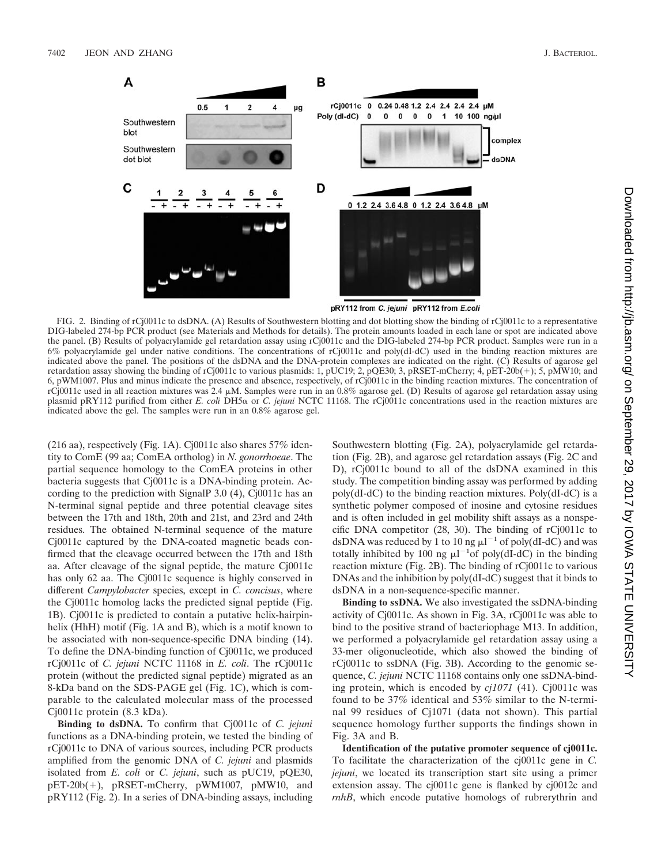

FIG. 2. Binding of rCj0011c to dsDNA. (A) Results of Southwestern blotting and dot blotting show the binding of rCj0011c to a representative DIG-labeled 274-bp PCR product (see Materials and Methods for details). The protein amounts loaded in each lane or spot are indicated above the panel. (B) Results of polyacrylamide gel retardation assay using rCj0011c and the DIG-labeled 274-bp PCR product. Samples were run in a 6% polyacrylamide gel under native conditions. The concentrations of rCj0011c and poly(dI-dC) used in the binding reaction mixtures are indicated above the panel. The positions of the dsDNA and the DNA-protein complexes are indicated on the right. (C) Results of agarose gel retardation assay showing the binding of rCj0011c to various plasmids: 1, pUC19; 2, pQE30; 3, pRSET-mCherry; 4, pET-20b(+); 5, pMW10; and 6, pWM1007. Plus and minus indicate the presence and absence, respectively, of rCj0011c in the binding reaction mixtures. The concentration of rCj0011c used in all reaction mixtures was 2.4 M. Samples were run in an 0.8% agarose gel. (D) Results of agarose gel retardation assay using plasmid pRY112 purified from either *E. coli* DH5α or *C. jejuni* NCTC 11168. The rCj0011c concentrations used in the reaction mixtures are indicated above the gel. The samples were run in an 0.8% agarose gel.

(216 aa), respectively (Fig. 1A). Cj0011c also shares 57% identity to ComE (99 aa; ComEA ortholog) in *N. gonorrhoeae*. The partial sequence homology to the ComEA proteins in other bacteria suggests that Cj0011c is a DNA-binding protein. According to the prediction with SignalP 3.0 (4), Cj0011c has an N-terminal signal peptide and three potential cleavage sites between the 17th and 18th, 20th and 21st, and 23rd and 24th residues. The obtained N-terminal sequence of the mature Cj0011c captured by the DNA-coated magnetic beads confirmed that the cleavage occurred between the 17th and 18th aa. After cleavage of the signal peptide, the mature Cj0011c has only 62 aa. The Cj0011c sequence is highly conserved in different *Campylobacter* species, except in *C. concisus*, where the Cj0011c homolog lacks the predicted signal peptide (Fig. 1B). Cj0011c is predicted to contain a putative helix-hairpinhelix (HhH) motif (Fig. 1A and B), which is a motif known to be associated with non-sequence-specific DNA binding (14). To define the DNA-binding function of Cj0011c, we produced rCj0011c of *C. jejuni* NCTC 11168 in *E. coli*. The rCj0011c protein (without the predicted signal peptide) migrated as an 8-kDa band on the SDS-PAGE gel (Fig. 1C), which is comparable to the calculated molecular mass of the processed Cj0011c protein (8.3 kDa).

**Binding to dsDNA.** To confirm that Cj0011c of *C. jejuni* functions as a DNA-binding protein, we tested the binding of rCj0011c to DNA of various sources, including PCR products amplified from the genomic DNA of *C. jejuni* and plasmids isolated from *E. coli* or *C. jejuni*, such as pUC19, pQE30, pET-20b(+), pRSET-mCherry, pWM1007, pMW10, and pRY112 (Fig. 2). In a series of DNA-binding assays, including

Southwestern blotting (Fig. 2A), polyacrylamide gel retardation (Fig. 2B), and agarose gel retardation assays (Fig. 2C and D), rCj0011c bound to all of the dsDNA examined in this study. The competition binding assay was performed by adding poly(dI-dC) to the binding reaction mixtures. Poly(dI-dC) is a synthetic polymer composed of inosine and cytosine residues and is often included in gel mobility shift assays as a nonspecific DNA competitor (28, 30). The binding of rCj0011c to dsDNA was reduced by 1 to 10 ng  $\mu$ l<sup>-1</sup> of poly(dI-dC) and was totally inhibited by 100 ng  $\mu$ l<sup>-1</sup>of poly(dI-dC) in the binding reaction mixture (Fig. 2B). The binding of rCj0011c to various DNAs and the inhibition by poly(dI-dC) suggest that it binds to dsDNA in a non-sequence-specific manner.

**Binding to ssDNA.** We also investigated the ssDNA-binding activity of Cj0011c. As shown in Fig. 3A, rCj0011c was able to bind to the positive strand of bacteriophage M13. In addition, we performed a polyacrylamide gel retardation assay using a 33-mer oligonucleotide, which also showed the binding of rCj0011c to ssDNA (Fig. 3B). According to the genomic sequence, *C. jejuni* NCTC 11168 contains only one ssDNA-binding protein, which is encoded by *cj1071* (41). Cj0011c was found to be 37% identical and 53% similar to the N-terminal 99 residues of Cj1071 (data not shown). This partial sequence homology further supports the findings shown in Fig. 3A and B.

**Identification of the putative promoter sequence of cj0011c.** To facilitate the characterization of the cj0011c gene in *C. jejuni*, we located its transcription start site using a primer extension assay. The cj0011c gene is flanked by cj0012c and *rnhB*, which encode putative homologs of rubrerythrin and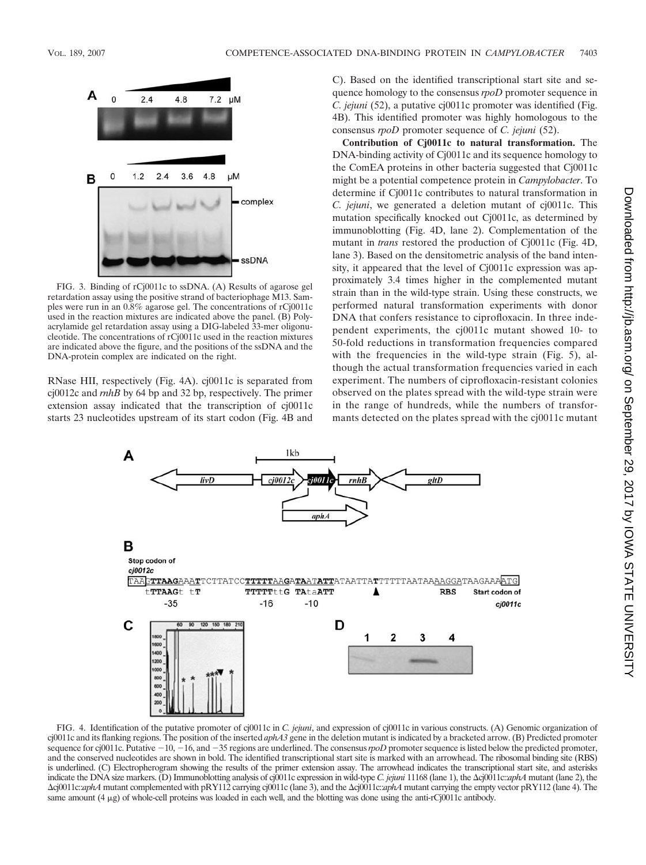

FIG. 3. Binding of rCj0011c to ssDNA. (A) Results of agarose gel retardation assay using the positive strand of bacteriophage M13. Samples were run in an 0.8% agarose gel. The concentrations of rCj0011c used in the reaction mixtures are indicated above the panel. (B) Polyacrylamide gel retardation assay using a DIG-labeled 33-mer oligonucleotide. The concentrations of rCj0011c used in the reaction mixtures are indicated above the figure, and the positions of the ssDNA and the DNA-protein complex are indicated on the right.

RNase HII, respectively (Fig. 4A). cj0011c is separated from cj0012c and *rnhB* by 64 bp and 32 bp, respectively. The primer extension assay indicated that the transcription of cj0011c starts 23 nucleotides upstream of its start codon (Fig. 4B and

C). Based on the identified transcriptional start site and sequence homology to the consensus *rpoD* promoter sequence in *C. jejuni* (52), a putative cj0011c promoter was identified (Fig. 4B). This identified promoter was highly homologous to the consensus *rpoD* promoter sequence of *C. jejuni* (52).

**Contribution of Cj0011c to natural transformation.** The DNA-binding activity of Cj0011c and its sequence homology to the ComEA proteins in other bacteria suggested that Cj0011c might be a potential competence protein in *Campylobacter*. To determine if Cj0011c contributes to natural transformation in *C. jejuni*, we generated a deletion mutant of cj0011c. This mutation specifically knocked out Cj0011c, as determined by immunoblotting (Fig. 4D, lane 2). Complementation of the mutant in *trans* restored the production of Cj0011c (Fig. 4D, lane 3). Based on the densitometric analysis of the band intensity, it appeared that the level of Cj0011c expression was approximately 3.4 times higher in the complemented mutant strain than in the wild-type strain. Using these constructs, we performed natural transformation experiments with donor DNA that confers resistance to ciprofloxacin. In three independent experiments, the cj0011c mutant showed 10- to 50-fold reductions in transformation frequencies compared with the frequencies in the wild-type strain (Fig. 5), although the actual transformation frequencies varied in each experiment. The numbers of ciprofloxacin-resistant colonies observed on the plates spread with the wild-type strain were in the range of hundreds, while the numbers of transformants detected on the plates spread with the cj0011c mutant



FIG. 4. Identification of the putative promoter of cj0011c in *C. jejuni*, and expression of cj0011c in various constructs. (A) Genomic organization of cj0011c and its flanking regions. The position of the inserted *aphA3* gene in the deletion mutant is indicated by a bracketed arrow. (B) Predicted promoter sequence for cj0011c. Putative -10, -16, and -35 regions are underlined. The consensus *rpoD* promoter sequence is listed below the predicted promoter, and the conserved nucleotides are shown in bold. The identified transcriptional start site is marked with an arrowhead. The ribosomal binding site (RBS) is underlined. (C) Electropherogram showing the results of the primer extension assay. The arrowhead indicates the transcriptional start site, and asterisks indicate the DNA size markers. (D) Immunoblotting analysis of cj0011c expression in wild-type *C. jejuni* 11168 (lane 1), the  $\Delta$ cj0011c:*aphA* mutant (lane 2), the -cj0011c::*aphA* mutant complemented with pRY112 carrying cj0011c (lane 3), and the -cj0011c::*aphA* mutant carrying the empty vector pRY112 (lane 4). The same amount (4 µg) of whole-cell proteins was loaded in each well, and the blotting was done using the anti-rCj0011c antibody.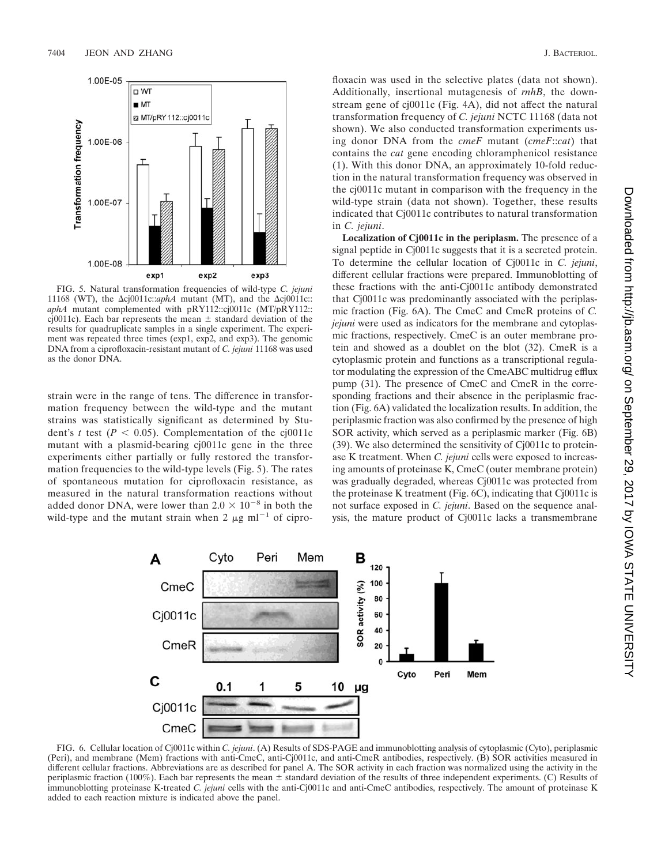

FIG. 5. Natural transformation frequencies of wild-type *C. jejuni* 11168 (WT), the  $\Delta$ cj0011c::*aphA* mutant (MT), and the  $\Delta$ cj0011c:: *aphA* mutant complemented with pRY112::cj0011c (MT/pRY112:: cj0011c). Each bar represents the mean  $\pm$  standard deviation of the results for quadruplicate samples in a single experiment. The experiment was repeated three times (exp1, exp2, and exp3). The genomic DNA from a ciprofloxacin-resistant mutant of *C. jejuni* 11168 was used as the donor DNA.

strain were in the range of tens. The difference in transformation frequency between the wild-type and the mutant strains was statistically significant as determined by Student's *t* test ( $P < 0.05$ ). Complementation of the cj0011c mutant with a plasmid-bearing cj0011c gene in the three experiments either partially or fully restored the transformation frequencies to the wild-type levels (Fig. 5). The rates of spontaneous mutation for ciprofloxacin resistance, as measured in the natural transformation reactions without added donor DNA, were lower than  $2.0 \times 10^{-8}$  in both the wild-type and the mutant strain when 2  $\mu$ g ml<sup>-1</sup> of ciprofloxacin was used in the selective plates (data not shown). Additionally, insertional mutagenesis of *rnhB*, the downstream gene of cj0011c (Fig. 4A), did not affect the natural transformation frequency of *C. jejuni* NCTC 11168 (data not shown). We also conducted transformation experiments using donor DNA from the *cmeF* mutant (*cmeF*::*cat*) that contains the *cat* gene encoding chloramphenicol resistance (1). With this donor DNA, an approximately 10-fold reduction in the natural transformation frequency was observed in the cj0011c mutant in comparison with the frequency in the wild-type strain (data not shown). Together, these results indicated that Cj0011c contributes to natural transformation in *C. jejuni*.

**Localization of Cj0011c in the periplasm.** The presence of a signal peptide in Cj0011c suggests that it is a secreted protein. To determine the cellular location of Cj0011c in *C. jejuni*, different cellular fractions were prepared. Immunoblotting of these fractions with the anti-Cj0011c antibody demonstrated that Cj0011c was predominantly associated with the periplasmic fraction (Fig. 6A). The CmeC and CmeR proteins of *C. jejuni* were used as indicators for the membrane and cytoplasmic fractions, respectively. CmeC is an outer membrane protein and showed as a doublet on the blot (32). CmeR is a cytoplasmic protein and functions as a transcriptional regulator modulating the expression of the CmeABC multidrug efflux pump (31). The presence of CmeC and CmeR in the corresponding fractions and their absence in the periplasmic fraction (Fig. 6A) validated the localization results. In addition, the periplasmic fraction was also confirmed by the presence of high SOR activity, which served as a periplasmic marker (Fig. 6B) (39). We also determined the sensitivity of Cj0011c to proteinase K treatment. When *C. jejuni* cells were exposed to increasing amounts of proteinase K, CmeC (outer membrane protein) was gradually degraded, whereas Cj0011c was protected from the proteinase K treatment (Fig. 6C), indicating that Cj0011c is not surface exposed in *C. jejuni*. Based on the sequence analysis, the mature product of Cj0011c lacks a transmembrane



FIG. 6. Cellular location of Cj0011c within *C. jejuni*. (A) Results of SDS-PAGE and immunoblotting analysis of cytoplasmic (Cyto), periplasmic (Peri), and membrane (Mem) fractions with anti-CmeC, anti-Cj0011c, and anti-CmeR antibodies, respectively. (B) SOR activities measured in different cellular fractions. Abbreviations are as described for panel A. The SOR activity in each fraction was normalized using the activity in the periplasmic fraction (100%). Each bar represents the mean  $\pm$  standard deviation of the results of three independent experiments. (C) Results of immunoblotting proteinase K-treated *C. jejuni* cells with the anti-Cj0011c and anti-CmeC antibodies, respectively. The amount of proteinase K added to each reaction mixture is indicated above the panel.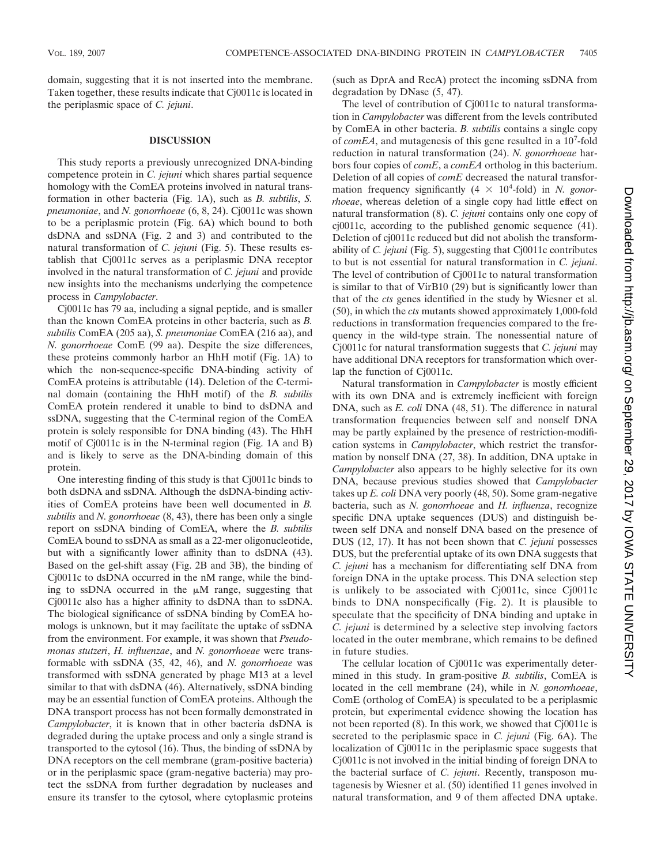domain, suggesting that it is not inserted into the membrane. Taken together, these results indicate that Cj0011c is located in the periplasmic space of *C. jejuni*.

#### **DISCUSSION**

This study reports a previously unrecognized DNA-binding competence protein in *C. jejuni* which shares partial sequence homology with the ComEA proteins involved in natural transformation in other bacteria (Fig. 1A), such as *B. subtilis*, *S. pneumoniae*, and *N. gonorrhoeae* (6, 8, 24). Cj0011c was shown to be a periplasmic protein (Fig. 6A) which bound to both dsDNA and ssDNA (Fig. 2 and 3) and contributed to the natural transformation of *C. jejuni* (Fig. 5). These results establish that Cj0011c serves as a periplasmic DNA receptor involved in the natural transformation of *C. jejuni* and provide new insights into the mechanisms underlying the competence process in *Campylobacter*.

Cj0011c has 79 aa, including a signal peptide, and is smaller than the known ComEA proteins in other bacteria, such as *B. subtilis* ComEA (205 aa), *S. pneumoniae* ComEA (216 aa), and *N. gonorrhoeae* ComE (99 aa). Despite the size differences, these proteins commonly harbor an HhH motif (Fig. 1A) to which the non-sequence-specific DNA-binding activity of ComEA proteins is attributable (14). Deletion of the C-terminal domain (containing the HhH motif) of the *B. subtilis* ComEA protein rendered it unable to bind to dsDNA and ssDNA, suggesting that the C-terminal region of the ComEA protein is solely responsible for DNA binding (43). The HhH motif of Cj0011c is in the N-terminal region (Fig. 1A and B) and is likely to serve as the DNA-binding domain of this protein.

One interesting finding of this study is that Cj0011c binds to both dsDNA and ssDNA. Although the dsDNA-binding activities of ComEA proteins have been well documented in *B. subtilis* and *N. gonorrhoeae* (8, 43), there has been only a single report on ssDNA binding of ComEA, where the *B. subtilis* ComEA bound to ssDNA as small as a 22-mer oligonucleotide, but with a significantly lower affinity than to dsDNA (43). Based on the gel-shift assay (Fig. 2B and 3B), the binding of Cj0011c to dsDNA occurred in the nM range, while the binding to ssDNA occurred in the  $\mu$ M range, suggesting that Cj0011c also has a higher affinity to dsDNA than to ssDNA. The biological significance of ssDNA binding by ComEA homologs is unknown, but it may facilitate the uptake of ssDNA from the environment. For example, it was shown that *Pseudomonas stutzeri*, *H. influenzae*, and *N. gonorrhoeae* were transformable with ssDNA (35, 42, 46), and *N. gonorrhoeae* was transformed with ssDNA generated by phage M13 at a level similar to that with dsDNA (46). Alternatively, ssDNA binding may be an essential function of ComEA proteins. Although the DNA transport process has not been formally demonstrated in *Campylobacter*, it is known that in other bacteria dsDNA is degraded during the uptake process and only a single strand is transported to the cytosol (16). Thus, the binding of ssDNA by DNA receptors on the cell membrane (gram-positive bacteria) or in the periplasmic space (gram-negative bacteria) may protect the ssDNA from further degradation by nucleases and ensure its transfer to the cytosol, where cytoplasmic proteins

(such as DprA and RecA) protect the incoming ssDNA from degradation by DNase (5, 47).

The level of contribution of Cj0011c to natural transformation in *Campylobacter* was different from the levels contributed by ComEA in other bacteria. *B. subtilis* contains a single copy of *comEA*, and mutagenesis of this gene resulted in a 10<sup>7</sup>-fold reduction in natural transformation (24). *N. gonorrhoeae* harbors four copies of *comE*, a *comEA* ortholog in this bacterium. Deletion of all copies of *comE* decreased the natural transformation frequency significantly  $(4 \times 10^4$ -fold) in *N. gonorrhoeae*, whereas deletion of a single copy had little effect on natural transformation (8). *C. jejuni* contains only one copy of cj0011c, according to the published genomic sequence (41). Deletion of cj0011c reduced but did not abolish the transformability of *C. jejuni* (Fig. 5), suggesting that Cj0011c contributes to but is not essential for natural transformation in *C. jejuni*. The level of contribution of Cj0011c to natural transformation is similar to that of VirB10 (29) but is significantly lower than that of the *cts* genes identified in the study by Wiesner et al. (50), in which the *cts* mutants showed approximately 1,000-fold reductions in transformation frequencies compared to the frequency in the wild-type strain. The nonessential nature of Cj0011c for natural transformation suggests that *C. jejuni* may have additional DNA receptors for transformation which overlap the function of Cj0011c.

Natural transformation in *Campylobacter* is mostly efficient with its own DNA and is extremely inefficient with foreign DNA, such as *E. coli* DNA (48, 51). The difference in natural transformation frequencies between self and nonself DNA may be partly explained by the presence of restriction-modification systems in *Campylobacter*, which restrict the transformation by nonself DNA (27, 38). In addition, DNA uptake in *Campylobacter* also appears to be highly selective for its own DNA, because previous studies showed that *Campylobacter* takes up *E. coli* DNA very poorly (48, 50). Some gram-negative bacteria, such as *N. gonorrhoeae* and *H. influenza*, recognize specific DNA uptake sequences (DUS) and distinguish between self DNA and nonself DNA based on the presence of DUS (12, 17). It has not been shown that *C. jejuni* possesses DUS, but the preferential uptake of its own DNA suggests that *C. jejuni* has a mechanism for differentiating self DNA from foreign DNA in the uptake process. This DNA selection step is unlikely to be associated with Cj0011c, since Cj0011c binds to DNA nonspecifically (Fig. 2). It is plausible to speculate that the specificity of DNA binding and uptake in *C. jejuni* is determined by a selective step involving factors located in the outer membrane, which remains to be defined in future studies.

The cellular location of Cj0011c was experimentally determined in this study. In gram-positive *B. subtilis*, ComEA is located in the cell membrane (24), while in *N. gonorrhoeae*, ComE (ortholog of ComEA) is speculated to be a periplasmic protein, but experimental evidence showing the location has not been reported (8). In this work, we showed that Cj0011c is secreted to the periplasmic space in *C. jejuni* (Fig. 6A). The localization of Cj0011c in the periplasmic space suggests that Cj0011c is not involved in the initial binding of foreign DNA to the bacterial surface of *C. jejuni*. Recently, transposon mutagenesis by Wiesner et al. (50) identified 11 genes involved in natural transformation, and 9 of them affected DNA uptake.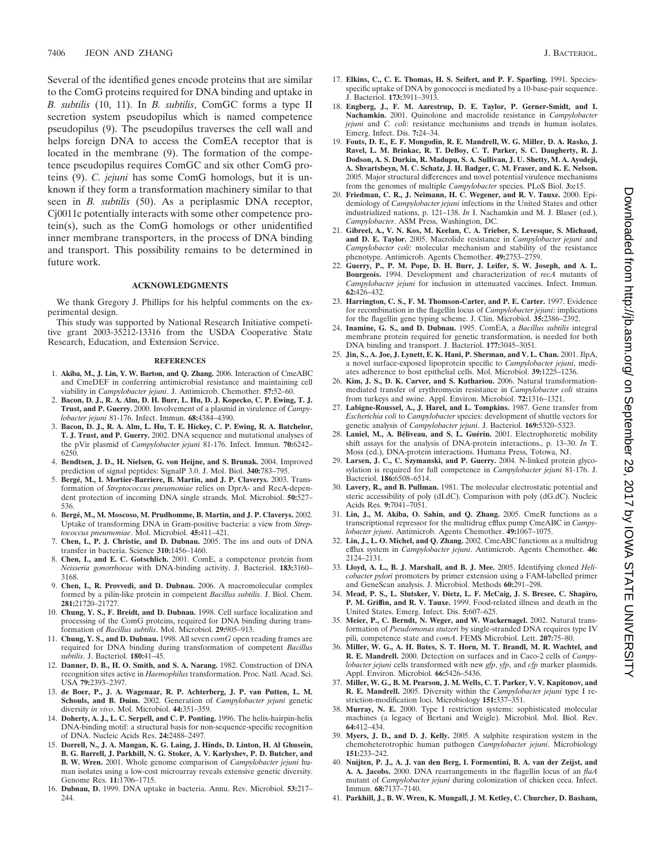Several of the identified genes encode proteins that are similar to the ComG proteins required for DNA binding and uptake in *B. subtilis* (10, 11). In *B. subtilis*, ComGC forms a type II secretion system pseudopilus which is named competence pseudopilus (9). The pseudopilus traverses the cell wall and helps foreign DNA to access the ComEA receptor that is located in the membrane (9). The formation of the competence pseudopilus requires ComGC and six other ComG proteins (9). *C. jejuni* has some ComG homologs, but it is unknown if they form a transformation machinery similar to that seen in *B. subtilis* (50). As a periplasmic DNA receptor, Cj0011c potentially interacts with some other competence protein(s), such as the ComG homologs or other unidentified inner membrane transporters, in the process of DNA binding and transport. This possibility remains to be determined in future work.

### **ACKNOWLEDGMENTS**

We thank Gregory J. Phillips for his helpful comments on the experimental design.

This study was supported by National Research Initiative competitive grant 2003-35212-13316 from the USDA Cooperative State Research, Education, and Extension Service.

#### **REFERENCES**

- 1. **Akiba, M., J. Lin, Y. W. Barton, and Q. Zhang.** 2006. Interaction of CmeABC and CmeDEF in conferring antimicrobial resistance and maintaining cell viability in *Campylobacter jejuni*. J. Antimicrob. Chemother. **57:**52–60.
- 2. **Bacon, D. J., R. A. Alm, D. H. Burr, L. Hu, D. J. Kopecko, C. P. Ewing, T. J. Trust, and P. Guerry.** 2000. Involvement of a plasmid in virulence of *Campylobacter jejuni* 81-176. Infect. Immun. **68:**4384–4390.
- 3. **Bacon, D. J., R. A. Alm, L. Hu, T. E. Hickey, C. P. Ewing, R. A. Batchelor, T. J. Trust, and P. Guerry.** 2002. DNA sequence and mutational analyses of the pVir plasmid of *Campylobacter jejuni* 81-176. Infect. Immun. **70:**6242– 6250.
- 4. **Bendtsen, J. D., H. Nielsen, G. von Heijne, and S. Brunak.** 2004. Improved prediction of signal peptides: SignalP 3.0. J. Mol. Biol. **340:**783–795.
- 5. **Berge´, M., I. Mortier-Barriere, B. Martin, and J. P. Claverys.** 2003. Transformation of *Streptococcus pneumoniae* relies on DprA- and RecA-dependent protection of incoming DNA single strands. Mol. Microbiol. **50:**527– 536.
- 6. **Berge´, M., M. Moscoso, M. Prudhomme, B. Martin, and J. P. Claverys.** 2002. Uptake of transforming DNA in Gram-positive bacteria: a view from *Streptococcus pneumoniae*. Mol. Microbiol. **45:**411–421.
- 7. **Chen, I., P. J. Christie, and D. Dubnau.** 2005. The ins and outs of DNA transfer in bacteria. Science **310:**1456–1460.
- 8. **Chen, I., and E. C. Gotschlich.** 2001. ComE, a competence protein from *Neisseria gonorrhoeae* with DNA-binding activity. J. Bacteriol. **183:**3160– 3168.
- 9. **Chen, I., R. Provvedi, and D. Dubnau.** 2006. A macromolecular complex formed by a pilin-like protein in competent *Bacillus subtilis*. J. Biol. Chem. **281:**21720–21727.
- 10. **Chung, Y. S., F. Breidt, and D. Dubnau.** 1998. Cell surface localization and processing of the ComG proteins, required for DNA binding during transformation of *Bacillus subtilis*. Mol. Microbiol. **29:**905–913.
- 11. **Chung, Y. S., and D. Dubnau.** 1998. All seven *comG* open reading frames are required for DNA binding during transformation of competent *Bacillus subtilis*. J. Bacteriol. **180:**41–45.
- 12. **Danner, D. B., H. O. Smith, and S. A. Narang.** 1982. Construction of DNA recognition sites active in *Haemophilus* transformation. Proc. Natl. Acad. Sci. USA **79:**2393–2397.
- 13. **de Boer, P., J. A. Wagenaar, R. P. Achterberg, J. P. van Putten, L. M. Schouls, and B. Duim.** 2002. Generation of *Campylobacter jejuni* genetic diversity *in vivo*. Mol. Microbiol. **44:**351–359.
- 14. **Doherty, A. J., L. C. Serpell, and C. P. Ponting.** 1996. The helix-hairpin-helix DNA-binding motif: a structural basis for non-sequence-specific recognition of DNA. Nucleic Acids Res. **24:**2488–2497.
- 15. **Dorrell, N., J. A. Mangan, K. G. Laing, J. Hinds, D. Linton, H. Al Ghusein, B. G. Barrell, J. Parkhill, N. G. Stoker, A. V. Karlyshev, P. D. Butcher, and B. W. Wren.** 2001. Whole genome comparison of *Campylobacter jejuni* human isolates using a low-cost microarray reveals extensive genetic diversity. Genome Res. **11:**1706–1715.
- 16. **Dubnau, D.** 1999. DNA uptake in bacteria. Annu. Rev. Microbiol. **53:**217– 244.
- 17. **Elkins, C., C. E. Thomas, H. S. Seifert, and P. F. Sparling.** 1991. Speciesspecific uptake of DNA by gonococci is mediated by a 10-base-pair sequence. J. Bacteriol. **173:**3911–3913.
- 18. **Engberg, J., F. M. Aarestrup, D. E. Taylor, P. Gerner-Smidt, and I. Nachamkin.** 2001. Quinolone and macrolide resistance in *Campylobacter jejuni* and *C. coli*: resistance mechanisms and trends in human isolates. Emerg. Infect. Dis. **7:**24–34.
- 19. **Fouts, D. E., E. F. Mongodin, R. E. Mandrell, W. G. Miller, D. A. Rasko, J. Ravel, L. M. Brinkac, R. T. DeBoy, C. T. Parker, S. C. Daugherty, R. J. Dodson, A. S. Durkin, R. Madupu, S. A. Sullivan, J. U. Shetty, M. A. Ayodeji, A. Shvartsbeyn, M. C. Schatz, J. H. Badger, C. M. Fraser, and K. E. Nelson.** 2005. Major structural differences and novel potential virulence mechanisms from the genomes of multiple *Campylobacter* species. PLoS Biol. **3:**e15.
- 20. **Friedman, C. R., J. Neimann, H. C. Wegener, and R. V. Tauxe.** 2000. Epidemiology of *Campylobacter jejuni* infections in the United States and other industrialized nations, p. 121–138. *In* I. Nachamkin and M. J. Blaser (ed.), *Campylobacter*. ASM Press, Washington, DC.
- 21. **Gibreel, A., V. N. Kos, M. Keelan, C. A. Trieber, S. Levesque, S. Michaud, and D. E. Taylor.** 2005. Macrolide resistance in *Campylobacter jejuni* and *Campylobacter coli*: molecular mechanism and stability of the resistance phenotype. Antimicrob. Agents Chemother. **49:**2753–2759.
- 22. **Guerry, P., P. M. Pope, D. H. Burr, J. Leifer, S. W. Joseph, and A. L. Bourgeois.** 1994. Development and characterization of *recA* mutants of *Campylobacter jejuni* for inclusion in attenuated vaccines. Infect. Immun. **62:**426–432.
- 23. **Harrington, C. S., F. M. Thomson-Carter, and P. E. Carter.** 1997. Evidence for recombination in the flagellin locus of *Campylobacter jejuni*: implications for the flagellin gene typing scheme. J. Clin. Microbiol. **35:**2386–2392.
- 24. **Inamine, G. S., and D. Dubnau.** 1995. ComEA, a *Bacillus subtilis* integral membrane protein required for genetic transformation, is needed for both DNA binding and transport. J. Bacteriol. **177:**3045–3051.
- 25. **Jin, S., A. Joe, J. Lynett, E. K. Hani, P. Sherman, and V. L. Chan.** 2001. JlpA, a novel surface-exposed lipoprotein specific to *Campylobacter jejuni*, mediates adherence to host epithelial cells. Mol. Microbiol. **39:**1225–1236.
- 26. **Kim, J. S., D. K. Carver, and S. Kathariou.** 2006. Natural transformationmediated transfer of erythromycin resistance in *Campylobacter coli* strains from turkeys and swine. Appl. Environ. Microbiol. **72:**1316–1321.
- 27. **Labigne-Roussel, A., J. Harel, and L. Tompkins.** 1987. Gene transfer from *Escherichia coli* to *Campylobacter* species: development of shuttle vectors for genetic analysis of *Campylobacter jejuni*. J. Bacteriol. **169:**5320–5323.
- 28. Laniel, M., A. Béliveau, and S. L. Guérin. 2001. Electrophoretic mobility shift assays for the analysis of DNA-protein interactions., p. 13–30. *In* T. Moss (ed.), DNA-protein interactions. Humana Press, Totowa, NJ.
- 29. **Larsen, J. C., C. Szymanski, and P. Guerry.** 2004. N-linked protein glycosylation is required for full competence in *Campylobacter jejuni* 81-176. J. Bacteriol. **186:**6508–6514.
- 30. **Lavery, R., and B. Pullman.** 1981. The molecular electrostatic potential and steric accessibility of poly (dI.dC). Comparison with poly (dG.dC). Nucleic Acids Res. **9:**7041–7051.
- 31. **Lin, J., M. Akiba, O. Sahin, and Q. Zhang.** 2005. CmeR functions as a transcriptional repressor for the multidrug efflux pump CmeABC in *Campylobacter jejuni*. Antimicrob. Agents Chemother. **49:**1067–1075.
- 32. **Lin, J., L. O. Michel, and Q. Zhang.** 2002. CmeABC functions as a multidrug efflux system in *Campylobacter jejuni*. Antimicrob. Agents Chemother. **46:** 2124–2131.
- 33. **Lloyd, A. L., B. J. Marshall, and B. J. Mee.** 2005. Identifying cloned *Helicobacter pylori* promoters by primer extension using a FAM-labelled primer and GeneScan analysis. J. Microbiol. Methods **60:**291–298.
- 34. **Mead, P. S., L. Slutsker, V. Dietz, L. F. McCaig, J. S. Bresee, C. Shapiro, P. M. Griffin, and R. V. Tauxe.** 1999. Food-related illness and death in the United States. Emerg. Infect. Dis. **5:**607–625.
- 35. **Meier, P., C. Berndt, N. Weger, and W. Wackernagel.** 2002. Natural transformation of *Pseudomonas stutzeri* by single-stranded DNA requires type IV pili, competence state and *comA*. FEMS Microbiol. Lett. **207:**75–80.
- 36. **Miller, W. G., A. H. Bates, S. T. Horn, M. T. Brandl, M. R. Wachtel, and R. E. Mandrell.** 2000. Detection on surfaces and in Caco-2 cells of *Campylobacter jejuni* cells transformed with new *gfp*, *yfp*, and *cfp* marker plasmids. Appl. Environ. Microbiol. **66:**5426–5436.
- 37. **Miller, W. G., B. M. Pearson, J. M. Wells, C. T. Parker, V. V. Kapitonov, and R. E. Mandrell.** 2005. Diversity within the *Campylobacter jejuni* type I restriction-modification loci. Microbiology **151:**337–351.
- 38. **Murray, N. E.** 2000. Type I restriction systems: sophisticated molecular machines (a legacy of Bertani and Weigle). Microbiol. Mol. Biol. Rev. **64:**412–434.
- 39. **Myers, J. D., and D. J. Kelly.** 2005. A sulphite respiration system in the chemoheterotrophic human pathogen *Campylobacter jejuni*. Microbiology **151:**233–242.
- 40. **Nuijten, P. J., A. J. van den Berg, I. Formentini, B. A. van der Zeijst, and A. A. Jacobs.** 2000. DNA rearrangements in the flagellin locus of an *flaA* mutant of *Campylobacter jejuni* during colonization of chicken ceca. Infect. Immun. **68:**7137–7140.
- 41. **Parkhill, J., B. W. Wren, K. Mungall, J. M. Ketley, C. Churcher, D. Basham,**